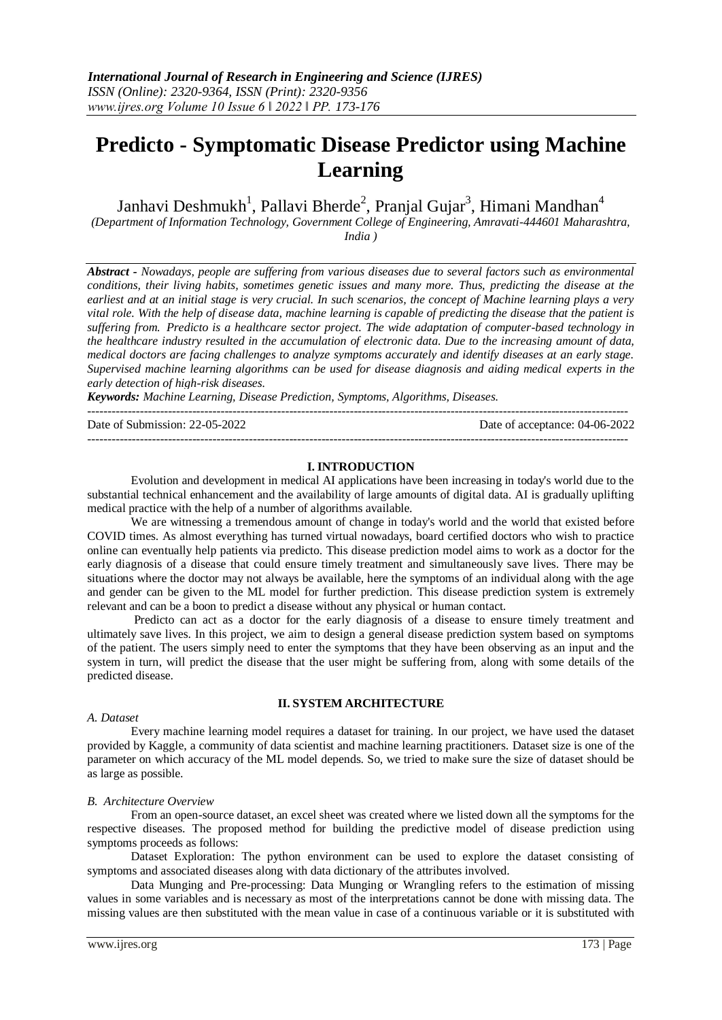# **Predicto - Symptomatic Disease Predictor using Machine Learning**

Janhavi Deshmukh<sup>1</sup>, Pallavi Bherde<sup>2</sup>, Pranjal Gujar<sup>3</sup>, Himani Mandhan<sup>4</sup>

*(Department of Information Technology, Government College of Engineering, Amravati-444601 Maharashtra, India )*

*Abstract - Nowadays, people are suffering from various diseases due to several factors such as environmental conditions, their living habits, sometimes genetic issues and many more. Thus, predicting the disease at the earliest and at an initial stage is very crucial. In such scenarios, the concept of Machine learning plays a very vital role. With the help of disease data, machine learning is capable of predicting the disease that the patient is suffering from. Predicto is a healthcare sector project. The wide adaptation of computer-based technology in the healthcare industry resulted in the accumulation of electronic data. Due to the increasing amount of data, medical doctors are facing challenges to analyze symptoms accurately and identify diseases at an early stage. Supervised machine learning algorithms can be used for disease diagnosis and aiding medical experts in the early detection of high-risk diseases.*

*Keywords: Machine Learning, Disease Prediction, Symptoms, Algorithms, Diseases.*

-------------------------------------------------------------------------------------------------------------------------------------- Date of Submission: 22-05-2022 Date of acceptance: 04-06-2022

# **I. INTRODUCTION**

--------------------------------------------------------------------------------------------------------------------------------------

Evolution and development in medical AI applications have been increasing in today's world due to the substantial technical enhancement and the availability of large amounts of digital data. AI is gradually uplifting medical practice with the help of a number of algorithms available.

We are witnessing a tremendous amount of change in today's world and the world that existed before COVID times. As almost everything has turned virtual nowadays, board certified doctors who wish to practice online can eventually help patients via predicto. This disease prediction model aims to work as a doctor for the early diagnosis of a disease that could ensure timely treatment and simultaneously save lives. There may be situations where the doctor may not always be available, here the symptoms of an individual along with the age and gender can be given to the ML model for further prediction. This disease prediction system is extremely relevant and can be a boon to predict a disease without any physical or human contact.

Predicto can act as a doctor for the early diagnosis of a disease to ensure timely treatment and ultimately save lives. In this project, we aim to design a general disease prediction system based on symptoms of the patient. The users simply need to enter the symptoms that they have been observing as an input and the system in turn, will predict the disease that the user might be suffering from, along with some details of the predicted disease.

# **II. SYSTEM ARCHITECTURE**

#### *A. Dataset*

Every machine learning model requires a dataset for training. In our project, we have used the dataset provided by Kaggle, a community of data scientist and machine learning practitioners. Dataset size is one of the parameter on which accuracy of the ML model depends. So, we tried to make sure the size of dataset should be as large as possible.

# *B. Architecture Overview*

From an open-source dataset, an excel sheet was created where we listed down all the symptoms for the respective diseases. The proposed method for building the predictive model of disease prediction using symptoms proceeds as follows:

Dataset Exploration: The python environment can be used to explore the dataset consisting of symptoms and associated diseases along with data dictionary of the attributes involved.

Data Munging and Pre-processing: Data Munging or Wrangling refers to the estimation of missing values in some variables and is necessary as most of the interpretations cannot be done with missing data. The missing values are then substituted with the mean value in case of a continuous variable or it is substituted with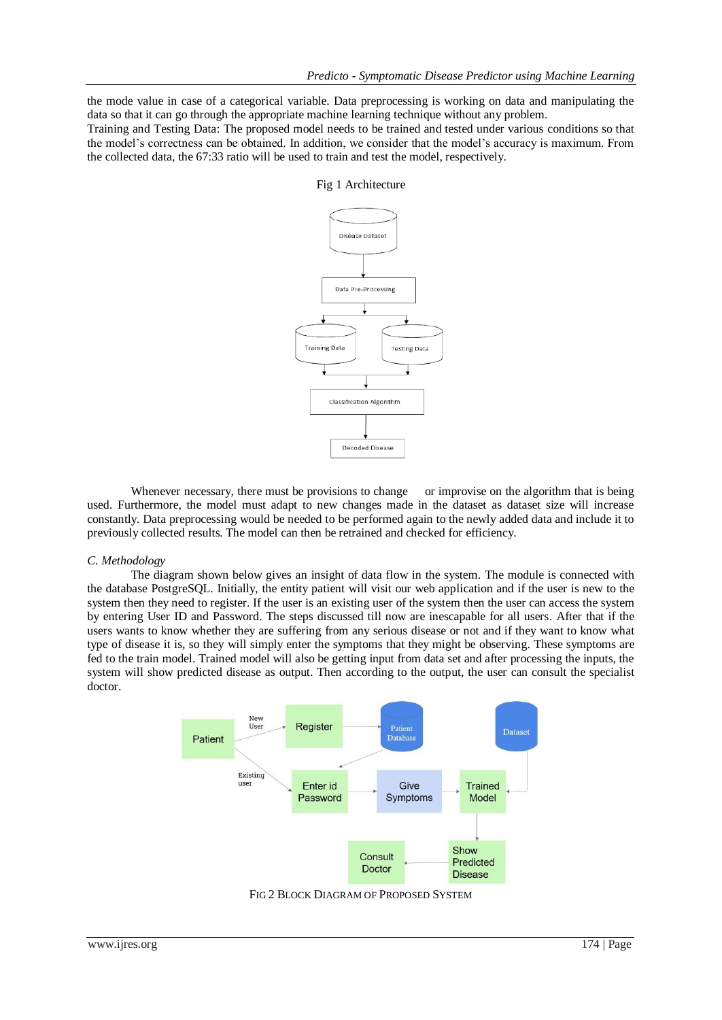the mode value in case of a categorical variable. Data preprocessing is working on data and manipulating the data so that it can go through the appropriate machine learning technique without any problem.

Training and Testing Data: The proposed model needs to be trained and tested under various conditions so that the model's correctness can be obtained. In addition, we consider that the model's accuracy is maximum. From the collected data, the 67:33 ratio will be used to train and test the model, respectively.

# Disease Dataset Data Pre-Processing **Training Data Testing Data** Classification Algorithm Decoded Disease

# Fig 1 Architecture

Whenever necessary, there must be provisions to change or improvise on the algorithm that is being used. Furthermore, the model must adapt to new changes made in the dataset as dataset size will increase constantly. Data preprocessing would be needed to be performed again to the newly added data and include it to previously collected results. The model can then be retrained and checked for efficiency.

#### *C. Methodology*

The diagram shown below gives an insight of data flow in the system. The module is connected with the database PostgreSQL. Initially, the entity patient will visit our web application and if the user is new to the system then they need to register. If the user is an existing user of the system then the user can access the system by entering User ID and Password. The steps discussed till now are inescapable for all users. After that if the users wants to know whether they are suffering from any serious disease or not and if they want to know what type of disease it is, so they will simply enter the symptoms that they might be observing. These symptoms are fed to the train model. Trained model will also be getting input from data set and after processing the inputs, the system will show predicted disease as output. Then according to the output, the user can consult the specialist doctor.



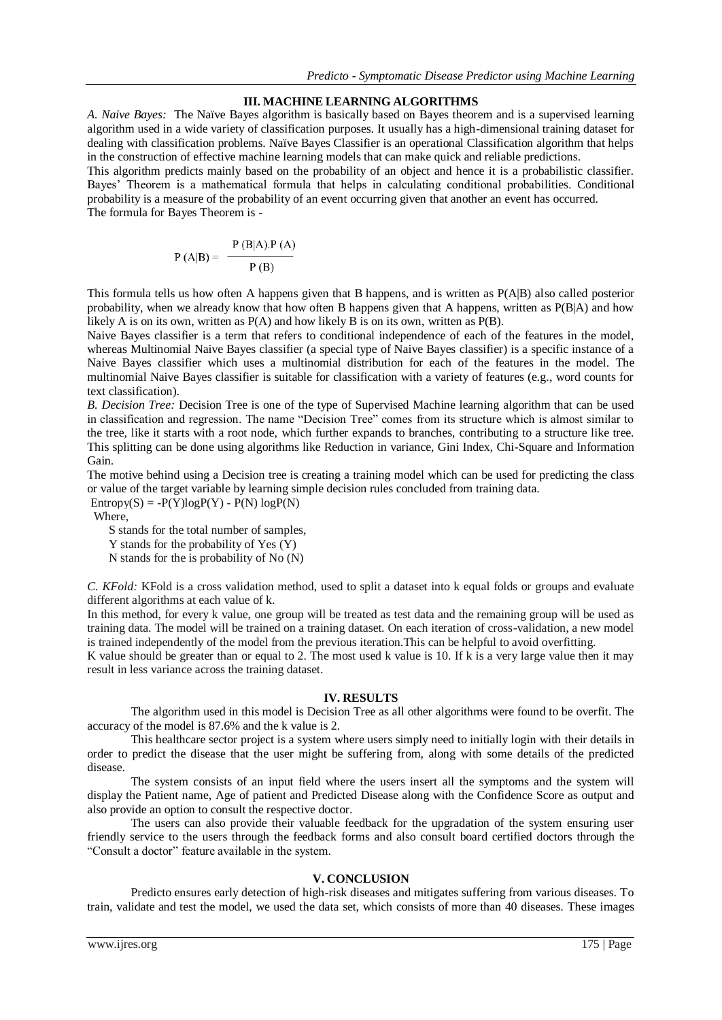# **III. MACHINE LEARNING ALGORITHMS**

*A. Naive Bayes:*The Naïve Bayes algorithm is basically based on Bayes theorem and is a supervised learning algorithm used in a wide variety of classification purposes. It usually has a high-dimensional training dataset for dealing with classification problems. Naïve Bayes Classifier is an operational Classification algorithm that helps in the construction of effective machine learning models that can make quick and reliable predictions.

This algorithm predicts mainly based on the probability of an object and hence it is a probabilistic classifier. Bayes' Theorem is a mathematical formula that helps in calculating conditional probabilities. Conditional probability is a measure of the probability of an event occurring given that another an event has occurred. The formula for Bayes Theorem is -

$$
P(A|B) = \frac{P(B|A) \cdot P(A)}{P(B)}
$$

This formula tells us how often A happens given that B happens, and is written as P(A|B) also called posterior probability, when we already know that how often B happens given that A happens, written as P(B|A) and how likely A is on its own, written as P(A) and how likely B is on its own, written as P(B).

Naive Bayes classifier is a term that refers to conditional independence of each of the features in the model, whereas Multinomial Naive Bayes classifier (a special type of Naive Bayes classifier) is a specific instance of a Naive Bayes classifier which uses a multinomial distribution for each of the features in the model. The multinomial Naive Bayes classifier is suitable for classification with a variety of features (e.g., word counts for text classification).

*B. Decision Tree:* Decision Tree is one of the type of Supervised Machine learning algorithm that can be used in classification and regression. The name "Decision Tree" comes from its structure which is almost similar to the tree, like it starts with a root node, which further expands to branches, contributing to a structure like tree. This splitting can be done using algorithms like Reduction in variance, Gini Index, Chi-Square and Information Gain.

The motive behind using a Decision tree is creating a training model which can be used for predicting the class or value of the target variable by learning simple decision rules concluded from training data.

 $Entropy(S) = -P(Y)logP(Y) - P(N)logP(N)$ 

Where,

S stands for the total number of samples,

Y stands for the probability of Yes (Y)

N stands for the is probability of No (N)

*C. KFold:* KFold is a cross validation method, used to split a dataset into k equal folds or groups and evaluate different algorithms at each value of k.

In this method, for every k value, one group will be treated as test data and the remaining group will be used as training data. The model will be trained on a training dataset. On each iteration of cross-validation, a new model is trained independently of the model from the previous iteration.This can be helpful to avoid overfitting.

K value should be greater than or equal to 2. The most used k value is 10. If k is a very large value then it may result in less variance across the training dataset.

# **IV. RESULTS**

The algorithm used in this model is Decision Tree as all other algorithms were found to be overfit. The accuracy of the model is 87.6% and the k value is 2.

This healthcare sector project is a system where users simply need to initially login with their details in order to predict the disease that the user might be suffering from, along with some details of the predicted disease.

The system consists of an input field where the users insert all the symptoms and the system will display the Patient name, Age of patient and Predicted Disease along with the Confidence Score as output and also provide an option to consult the respective doctor.

The users can also provide their valuable feedback for the upgradation of the system ensuring user friendly service to the users through the feedback forms and also consult board certified doctors through the "Consult a doctor" feature available in the system.

#### **V. CONCLUSION**

Predicto ensures early detection of high-risk diseases and mitigates suffering from various diseases. To train, validate and test the model, we used the data set, which consists of more than 40 diseases. These images